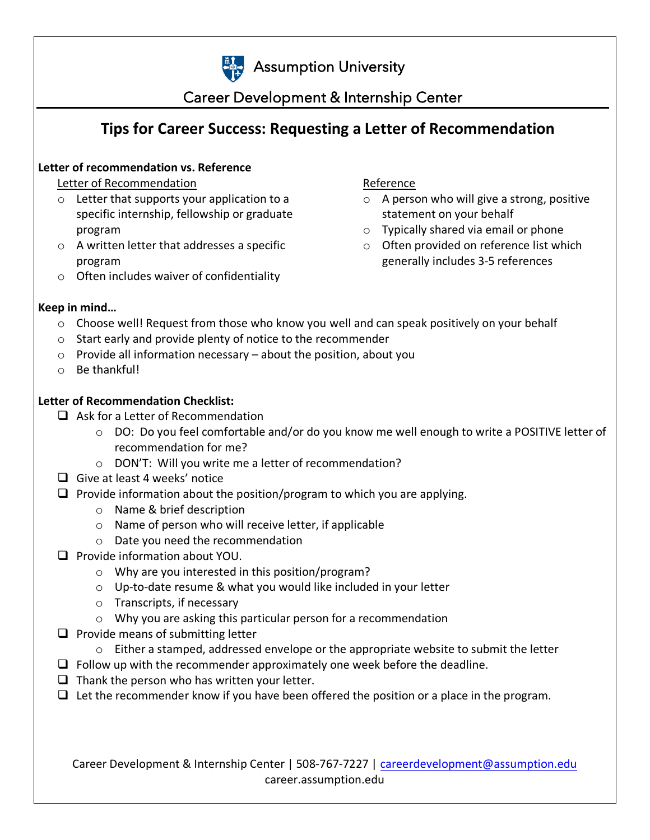

# **Assumption University**

## Career Development & Internship Center

## **Tips for Career Success: Requesting a Letter of Recommendation**

#### **Letter of recommendation vs. Reference**

Letter of Recommendation

- o Letter that supports your application to a specific internship, fellowship or graduate program
- o A written letter that addresses a specific program
- o Often includes waiver of confidentiality

Reference

- $\circ$  A person who will give a strong, positive statement on your behalf
- o Typically shared via email or phone
- o Often provided on reference list which generally includes 3-5 references

#### **Keep in mind…**

- o Choose well! Request from those who know you well and can speak positively on your behalf
- o Start early and provide plenty of notice to the recommender
- $\circ$  Provide all information necessary about the position, about you
- o Be thankful!

#### **Letter of Recommendation Checklist:**

- $\Box$  Ask for a Letter of Recommendation
	- o DO: Do you feel comfortable and/or do you know me well enough to write a POSITIVE letter of recommendation for me?
	- o DON'T: Will you write me a letter of recommendation?
- $\Box$  Give at least 4 weeks' notice
- $\Box$  Provide information about the position/program to which you are applying.
	- o Name & brief description
	- o Name of person who will receive letter, if applicable
	- o Date you need the recommendation
- $\Box$  Provide information about YOU.
	- o Why are you interested in this position/program?
	- o Up-to-date resume & what you would like included in your letter
	- o Transcripts, if necessary
	- o Why you are asking this particular person for a recommendation
- $\Box$  Provide means of submitting letter
	- $\circ$  Either a stamped, addressed envelope or the appropriate website to submit the letter
- $\Box$  Follow up with the recommender approximately one week before the deadline.
- $\Box$  Thank the person who has written your letter.
- $\Box$  Let the recommender know if you have been offered the position or a place in the program.

Career Development & Internship Center | 508-767-7227 | [careerdevelopment@assumption.edu](mailto:careerdevelopment@assumption.edu) career.assumption.edu